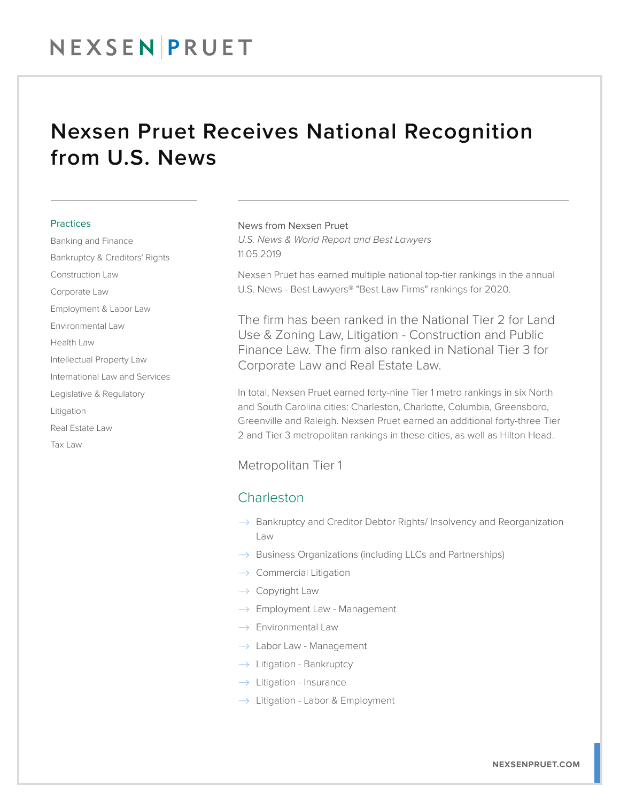# NEXSENPRUET

## Nexsen Pruet Receives National Recognition from U.S. News

#### **Practices**

Banking and Finance Bankruptcy & Creditors' Rights Construction Law Corporate Law Employment & Labor Law Environmental Law Health Law Intellectual Property Law International Law and Services Legislative & Regulatory Litigation Real Estate Law Tax Law

#### News from Nexsen Pruet

*U.S. News & World Report and Best Lawyers* 11.05.2019

Nexsen Pruet has earned multiple national top-tier rankings in the annual U.S. News - Best Lawyers® "Best Law Firms" rankings for 2020.

The firm has been ranked in the National Tier 2 for Land Use & Zoning Law, Litigation - Construction and Public Finance Law. The firm also ranked in National Tier 3 for Corporate Law and Real Estate Law.

In total, Nexsen Pruet earned forty-nine Tier 1 metro rankings in six North and South Carolina cities: Charleston, Charlotte, Columbia, Greensboro, Greenville and Raleigh. Nexsen Pruet earned an additional forty-three Tier 2 and Tier 3 metropolitan rankings in these cities, as well as Hilton Head.

Metropolitan Tier 1

### **Charleston**

- $\rightarrow$  Bankruptcy and Creditor Debtor Rights/Insolvency and Reorganization Law
- $\rightarrow$  Business Organizations (including LLCs and Partnerships)
- $\rightarrow$  Commercial Litigation
- $\rightarrow$  Copyright Law
- $\rightarrow$  Employment Law Management
- $\rightarrow$  Environmental Law
- $\rightarrow$  Labor Law Management
- $\rightarrow$  Litigation Bankruptcy
- $\rightarrow$  Litigation Insurance
- $\rightarrow$  Litigation Labor & Employment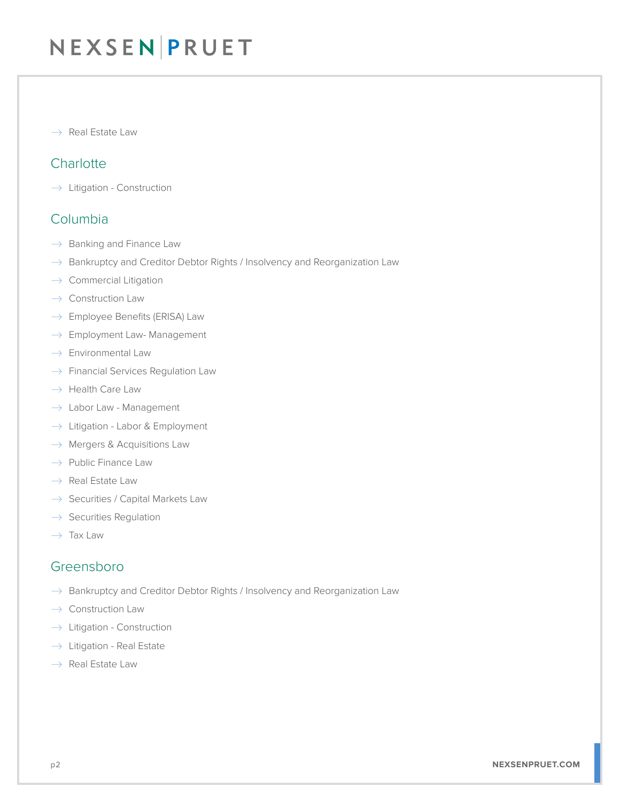# NEXSEN PRUET

 $\rightarrow$  Real Estate Law

## **Charlotte**

 $\rightarrow$  Litigation - Construction

### Columbia

- $\rightarrow$  Banking and Finance Law
- $\rightarrow$  Bankruptcy and Creditor Debtor Rights / Insolvency and Reorganization Law
- $\rightarrow$  Commercial Litigation
- $\rightarrow$  Construction Law
- $\rightarrow$  Employee Benefits (ERISA) Law
- $\rightarrow$  Employment Law- Management
- $\rightarrow$  Environmental Law
- $\rightarrow$  Financial Services Regulation Law
- $\rightarrow$  Health Care Law
- $\rightarrow$  Labor Law Management
- $\rightarrow$  Litigation Labor & Employment
- $\rightarrow$  Mergers & Acquisitions Law
- $\rightarrow$  Public Finance Law
- $\rightarrow$  Real Estate Law
- $\rightarrow$  Securities / Capital Markets Law
- $\rightarrow$  Securities Regulation
- $\rightarrow$  Tax Law

### Greensboro

- $\rightarrow$  Bankruptcy and Creditor Debtor Rights / Insolvency and Reorganization Law
- $\rightarrow$  Construction Law
- $\rightarrow$  Litigation Construction
- $\rightarrow$  Litigation Real Estate
- $\rightarrow$  Real Estate Law